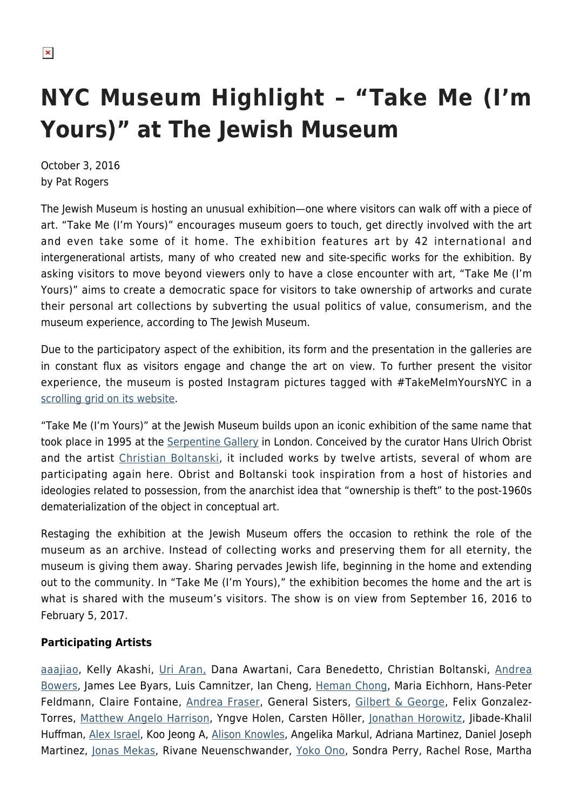## **NYC Museum Highlight – "Take Me (I'm Yours)" at The Jewish Museum**

October 3, 2016 by Pat Rogers

The Jewish Museum is hosting an unusual exhibition—one where visitors can walk off with a piece of art. "Take Me (I'm Yours)" encourages museum goers to touch, get directly involved with the art and even take some of it home. The exhibition features art by 42 international and intergenerational artists, many of who created new and site-specific works for the exhibition. By asking visitors to move beyond viewers only to have a close encounter with art, "Take Me (I'm Yours)" aims to create a democratic space for visitors to take ownership of artworks and curate their personal art collections by subverting the usual politics of value, consumerism, and the museum experience, according to The Jewish Museum.

Due to the participatory aspect of the exhibition, its form and the presentation in the galleries are in constant flux as visitors engage and change the art on view. To further present the visitor experience, the museum is posted Instagram pictures tagged with #TakeMeImYoursNYC in a [scrolling grid on its website.](http://thejewishmuseum.org/exhibitions/take-me-im-yours#social)

"Take Me (I'm Yours)" at the Jewish Museum builds upon an iconic exhibition of the same name that took place in 1995 at the [Serpentine Gallery](http://www.serpentinegalleries.org/) in London. Conceived by the curator Hans Ulrich Obrist and the artist [Christian Boltanski,](http://www.tate.org.uk/art/artists/christian-boltanski-2305) it included works by twelve artists, several of whom are participating again here. Obrist and Boltanski took inspiration from a host of histories and ideologies related to possession, from the anarchist idea that "ownership is theft" to the post-1960s dematerialization of the object in conceptual art.

Restaging the exhibition at the Jewish Museum offers the occasion to rethink the role of the museum as an archive. Instead of collecting works and preserving them for all eternity, the museum is giving them away. Sharing pervades Jewish life, beginning in the home and extending out to the community. In "Take Me (I'm Yours)," the exhibition becomes the home and the art is what is shared with the museum's visitors. The show is on view from September 16, 2016 to February 5, 2017.

## **Participating Artists**

[aaajiao,](http://eventstructure.com/aaajiao) Kelly Akashi, [Uri Aran,](http://whitney.org/Exhibitions/2014Biennial/UriAran) Dana Awartani, Cara Benedetto, Christian Boltanski, [Andrea](https://www.vielmetter.com/artists/andrea-bowers/selected-works.html) [Bowers,](https://www.vielmetter.com/artists/andrea-bowers/selected-works.html) James Lee Byars, Luis Camnitzer, Ian Cheng, [Heman Chong](http://www.rockbundartmuseum.org/en/exhibition/overview/338kwt), Maria Eichhorn, Hans-Peter Feldmann, Claire Fontaine, [Andrea Fraser](http://whitney.org/Exhibitions/OpenPlanAndreaFraser), General Sisters, [Gilbert & George](https://hamptonsarthub.com/2015/05/15/critics-view-frieze-unfrozen/), Felix Gonzalez-Torres, [Matthew Angelo Harrison,](http://jessicasilvermangallery.com/matthew-angelo-harrison/selected-works/) Yngve Holen, Carsten Höller, [Jonathan Horowitz](https://hamptonsarthub.com/2012/08/07/video-art-takes-over-guild-hall-museum/), Jibade-Khalil Huffman, [Alex Israel,](http://www.gagosian.com/artists/alex-israel) Koo Jeong A, [Alison Knowles,](http://www.aknowles.com/) Angelika Markul, Adriana Martinez, Daniel Joseph Martinez, [Jonas Mekas](http://jonasmekas.com/diary/), Rivane Neuenschwander, [Yoko Ono,](https://hamptonsarthub.com/2015/10/10/right-on-the-lennon-years-photographs-by-susan-wood-1968-1978/) Sondra Perry, Rachel Rose, Martha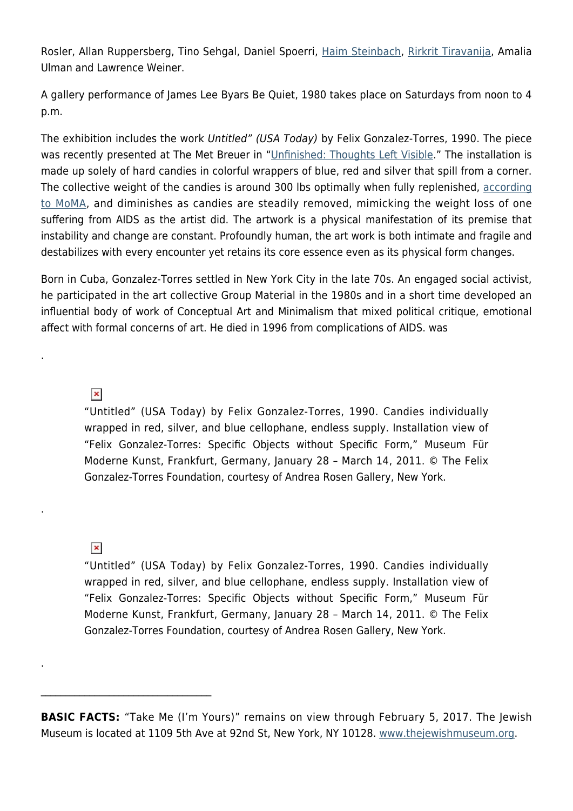Rosler, Allan Ruppersberg, Tino Sehgal, Daniel Spoerri, [Haim Steinbach,](http://www.haimsteinbach.net/) [Rirkrit Tiravanija](https://www.guggenheim.org/artwork/artist/rirkrit-tiravanija), Amalia Ulman and Lawrence Weiner.

A gallery performance of James Lee Byars Be Quiet, 1980 takes place on Saturdays from noon to 4 p.m.

The exhibition includes the work Untitled" (USA Today) by Felix Gonzalez-Torres, 1990. The piece was recently presented at The Met Breuer in "[Unfinished: Thoughts Left Visible](https://hamptonsarthub.com/2016/03/07/art-review-at-the-met-breuer-a-strategic-play-to-museums-strengths/)." The installation is made up solely of hard candies in colorful wrappers of blue, red and silver that spill from a corner. The collective weight of the candies is around 300 lbs optimally when fully replenished, [according](http://www.moma.org/collection/works/81073) [to MoMA,](http://www.moma.org/collection/works/81073) and diminishes as candies are steadily removed, mimicking the weight loss of one suffering from AIDS as the artist did. The artwork is a physical manifestation of its premise that instability and change are constant. Profoundly human, the art work is both intimate and fragile and destabilizes with every encounter yet retains its core essence even as its physical form changes.

Born in Cuba, Gonzalez-Torres settled in New York City in the late 70s. An engaged social activist, he participated in the art collective Group Material in the 1980s and in a short time developed an influential body of work of Conceptual Art and Minimalism that mixed political critique, emotional affect with formal concerns of art. He died in 1996 from complications of AIDS. was

 $\pmb{\times}$ 

.

.

.

"Untitled" (USA Today) by Felix Gonzalez-Torres, 1990. Candies individually wrapped in red, silver, and blue cellophane, endless supply. Installation view of "Felix Gonzalez-Torres: Specific Objects without Specific Form," Museum Für Moderne Kunst, Frankfurt, Germany, January 28 – March 14, 2011. © The Felix Gonzalez-Torres Foundation, courtesy of Andrea Rosen Gallery, New York.

 $\pmb{\times}$ 

 $\mathcal{L}_\text{max}$  and  $\mathcal{L}_\text{max}$  and  $\mathcal{L}_\text{max}$  and  $\mathcal{L}_\text{max}$ 

"Untitled" (USA Today) by Felix Gonzalez-Torres, 1990. Candies individually wrapped in red, silver, and blue cellophane, endless supply. Installation view of "Felix Gonzalez-Torres: Specific Objects without Specific Form," Museum Für Moderne Kunst, Frankfurt, Germany, January 28 – March 14, 2011. © The Felix Gonzalez-Torres Foundation, courtesy of Andrea Rosen Gallery, New York.

**BASIC FACTS:** "Take Me (I'm Yours)" remains on view through February 5, 2017. The Jewish Museum is located at 1109 5th Ave at 92nd St, New York, NY 10128. [www.thejewishmuseum.org.](http://www.thejewishmuseum.org)